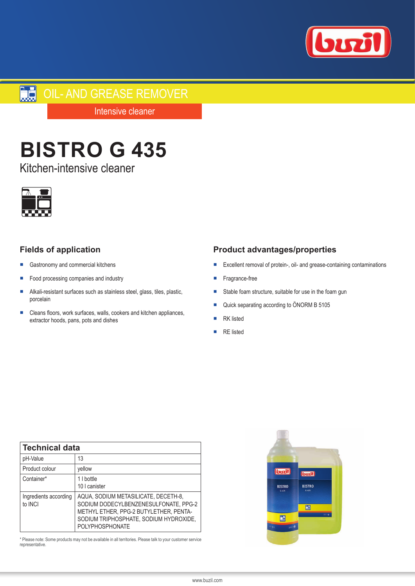

# **DIL-AND GREASE REMOVER**

Intensive cleaner

# **BISTRO G 435**

Kitchen-intensive cleaner



# **Fields of application**

- Gastronomy and commercial kitchens
- Food processing companies and industry
- Alkali-resistant surfaces such as stainless steel, glass, tiles, plastic, porcelain
- Cleans floors, work surfaces, walls, cookers and kitchen appliances, extractor hoods, pans, pots and dishes

# **Product advantages/properties**

- Excellent removal of protein-, oil- and grease-containing contaminations
- Fragrance-free
- Stable foam structure, suitable for use in the foam gun
- Quick separating according to ÖNORM B 5105
- **RK** listed
- **RE** listed

| <b>Technical data</b>                   |                                                                                                                                                                                             |
|-----------------------------------------|---------------------------------------------------------------------------------------------------------------------------------------------------------------------------------------------|
| pH-Value                                | 13                                                                                                                                                                                          |
| Product colour                          | yellow                                                                                                                                                                                      |
| Container*                              | 1 I bottle<br>10 I canister                                                                                                                                                                 |
| Ingredients according<br>to <b>INCI</b> | AQUA, SODIUM METASILICATE, DECETH-8,<br>SODIUM DODECYLBENZENESULFONATE, PPG-2<br>METHYL ETHER, PPG-2 BUTYLETHER, PENTA-<br>SODIUM TRIPHOSPHATE, SODIUM HYDROXIDE,<br><b>POLYPHOSPHONATE</b> |

\* Please note: Some products may not be available in all territories. Please talk to your customer service representative.